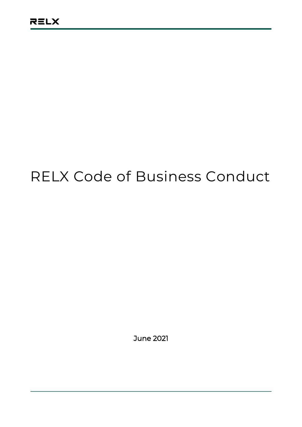# RELX Code of Business Conduct

**June 2021**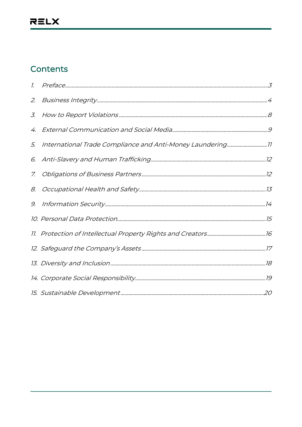# Contents

| $\mathcal{I}$ . |                                                            |  |
|-----------------|------------------------------------------------------------|--|
| 2.              |                                                            |  |
| 3.              |                                                            |  |
| 4.              |                                                            |  |
| 5.              | International Trade Compliance and Anti-Money Laundering11 |  |
| 6.              |                                                            |  |
| 7.              |                                                            |  |
| 8.              |                                                            |  |
| 9.              |                                                            |  |
|                 |                                                            |  |
|                 |                                                            |  |
|                 |                                                            |  |
|                 |                                                            |  |
|                 |                                                            |  |
|                 |                                                            |  |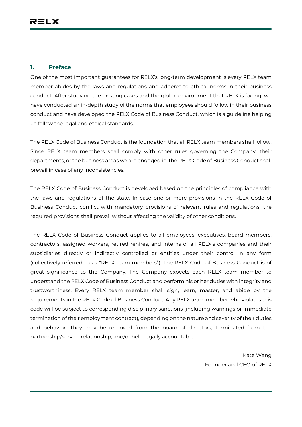### <span id="page-2-0"></span>**1. Preface**

One of the most important guarantees for RELX's long-term development is every RELX team member abides by the laws and regulations and adheres to ethical norms in their business conduct. After studying the existing cases and the global environment that RELX is facing, we have conducted an in-depth study of the norms that employees should follow in their business conduct and have developed the RELX Code of Business Conduct, which is a guideline helping us follow the legal and ethical standards.

The RELX Code of Business Conduct is the foundation that all RELX team members shall follow. Since RELX team members shall comply with other rules governing the Company, their departments, or the business areas we are engaged in, the RELX Code of Business Conduct shall prevail in case of any inconsistencies.

The RELX Code of Business Conduct is developed based on the principles of compliance with the laws and regulations of the state. In case one or more provisions in the RELX Code of Business Conduct conflict with mandatory provisions of relevant rules and regulations, the required provisions shall prevail without affecting the validity of other conditions.

The RELX Code of Business Conduct applies to all employees, executives, board members, contractors, assigned workers, retired rehires, and interns of all RELX's companies and their subsidiaries directly or indirectly controlled or entities under their control in any form (collectively referred to as "RELX team members"). The RELX Code of Business Conduct is of great significance to the Company. The Company expects each RELX team member to understand the RELX Code of Business Conduct and perform his or her duties with integrity and trustworthiness. Every RELX team member shall sign, learn, master, and abide by the requirements in the RELX Code of Business Conduct. Any RELX team member who violates this code will be subject to corresponding disciplinary sanctions (including warnings or immediate termination of their employment contract), depending on the nature and severity of their duties and behavior. They may be removed from the board of directors, terminated from the partnership/service relationship, and/or held legally accountable.

> Kate Wang Founder and CEO of RELX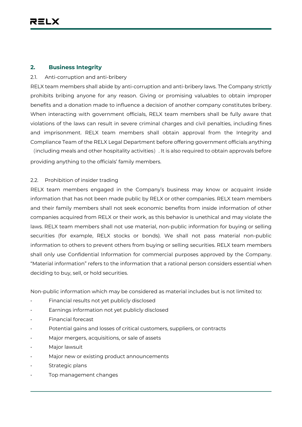## <span id="page-3-0"></span>**2. Business Integrity**

#### 2.1. Anti-corruption and anti-bribery

RELX team members shall abide by anti-corruption and anti-bribery laws. The Company strictly prohibits bribing anyone for any reason. Giving or promising valuables to obtain improper benefits and a donation made to influence a decision of another company constitutes bribery. When interacting with government officials, RELX team members shall be fully aware that violations of the laws can result in severe criminal charges and civil penalties, including fines and imprisonment. RELX team members shall obtain approval from the Integrity and Compliance Team of the RELX Legal Department before offering government officials anything (including meals and other hospitality activities). It is also required to obtain approvals before providing anything to the officials' family members.

### 2.2. Prohibition of insider trading

RELX team members engaged in the Company's business may know or acquaint inside information that has not been made public by RELX or other companies. RELX team members and their family members shall not seek economic benefits from inside information of other companies acquired from RELX or their work, as this behavior is unethical and may violate the laws. RELX team members shall not use material, non-public information for buying or selling securities (for example, RELX stocks or bonds). We shall not pass material non-public information to others to prevent others from buying or selling securities. RELX team members shall only use Confidential Information for commercial purposes approved by the Company. "Material information" refers to the information that a rational person considers essential when deciding to buy, sell, or hold securities.

Non-public information which may be considered as material includes but is not limited to:

- Financial results not yet publicly disclosed
- Earnings information not yet publicly disclosed
- Financial forecast
- Potential gains and losses of critical customers, suppliers, or contracts
- Major mergers, acquisitions, or sale of assets
- Major lawsuit
- Major new or existing product announcements
- Strategic plans
- Top management changes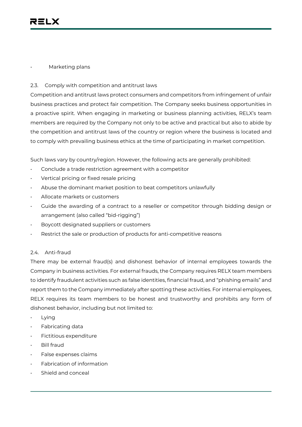#### Marketing plans

#### 2.3. Comply with competition and antitrust laws

Competition and antitrust laws protect consumers and competitors from infringement of unfair business practices and protect fair competition. The Company seeks business opportunities in a proactive spirit. When engaging in marketing or business planning activities, RELX's team members are required by the Company not only to be active and practical but also to abide by the competition and antitrust laws of the country or region where the business is located and to comply with prevailing business ethics at the time of participating in market competition.

Such laws vary by country/region. However, the following acts are generally prohibited:

- Conclude a trade restriction agreement with a competitor
- Vertical pricing or fixed resale pricing
- Abuse the dominant market position to beat competitors unlawfully
- Allocate markets or customers
- Guide the awarding of a contract to a reseller or competitor through bidding design or arrangement (also called "bid-rigging")
- Boycott designated suppliers or customers
- Restrict the sale or production of products for anti-competitive reasons

# 2.4. Anti-fraud

There may be external fraud(s) and dishonest behavior of internal employees towards the Company in business activities. For external frauds, the Company requires RELX team members to identify fraudulent activities such as false identities, financial fraud, and "phishing emails" and report them to the Company immediately after spotting these activities. For internal employees, RELX requires its team members to be honest and trustworthy and prohibits any form of dishonest behavior, including but not limited to:

- **Lying**
- Fabricating data
- Fictitious expenditure
- Bill fraud
- False expenses claims
- Fabrication of information
- Shield and conceal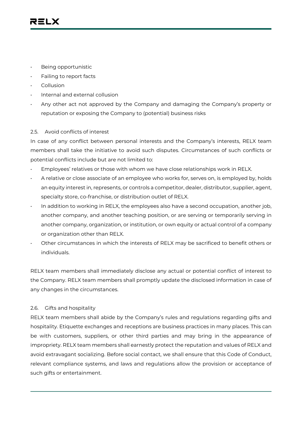- Being opportunistic
- Failing to report facts
- **Collusion**
- Internal and external collusion
- Any other act not approved by the Company and damaging the Company's property or reputation or exposing the Company to (potential) business risks

### 2.5. Avoid conflicts of interest

In case of any conflict between personal interests and the Company's interests, RELX team members shall take the initiative to avoid such disputes. Circumstances of such conflicts or potential conflicts include but are not limited to:

- Employees' relatives or those with whom we have close relationships work in RELX.
- A relative or close associate of an employee who works for, serves on, is employed by, holds an equity interest in, represents, or controls a competitor, dealer, distributor, supplier, agent, specialty store, co-franchise, or distribution outlet of RELX.
- In addition to working in RELX, the employees also have a second occupation, another job, another company, and another teaching position, or are serving or temporarily serving in another company, organization, or institution, or own equity or actual control of a company or organization other than RELX.
- Other circumstances in which the interests of RELX may be sacrificed to benefit others or individuals.

RELX team members shall immediately disclose any actual or potential conflict of interest to the Company. RELX team members shall promptly update the disclosed information in case of any changes in the circumstances.

#### 2.6. Gifts and hospitality

RELX team members shall abide by the Company's rules and regulations regarding gifts and hospitality. Etiquette exchanges and receptions are business practices in many places. This can be with customers, suppliers, or other third parties and may bring in the appearance of impropriety. RELX team members shall earnestly protect the reputation and values of RELX and avoid extravagant socializing. Before social contact, we shall ensure that this Code of Conduct, relevant compliance systems, and laws and regulations allow the provision or acceptance of such gifts or entertainment.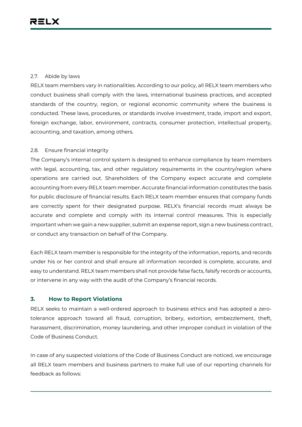#### 2.7. Abide by laws

RELX team members vary in nationalities. According to our policy, all RELX team members who conduct business shall comply with the laws, international business practices, and accepted standards of the country, region, or regional economic community where the business is conducted. These laws, procedures, or standards involve investment, trade, import and export, foreign exchange, labor, environment, contracts, consumer protection, intellectual property, accounting, and taxation, among others.

#### 2.8. Ensure financial integrity

The Company's internal control system is designed to enhance compliance by team members with legal, accounting, tax, and other regulatory requirements in the country/region where operations are carried out. Shareholders of the Company expect accurate and complete accounting from every RELX team member. Accurate financial information constitutes the basis for public disclosure of financial results. Each RELX team member ensures that company funds are correctly spent for their designated purpose. RELX's financial records must always be accurate and complete and comply with its internal control measures. This is especially important when we gain a new supplier, submit an expense report, sign a new business contract, or conduct any transaction on behalf of the Company.

Each RELX team member is responsible for the integrity of the information, reports, and records under his or her control and shall ensure all information recorded is complete, accurate, and easy to understand. RELX team members shall not provide false facts, falsify records or accounts, or intervene in any way with the audit of the Company's financial records.

# <span id="page-6-0"></span>**3. How to Report Violations**

RELX seeks to maintain a well-ordered approach to business ethics and has adopted a zerotolerance approach toward all fraud, corruption, bribery, extortion, embezzlement, theft, harassment, discrimination, money laundering, and other improper conduct in violation of the Code of Business Conduct.

In case of any suspected violations of the Code of Business Conduct are noticed, we encourage all RELX team members and business partners to make full use of our reporting channels for feedback as follows: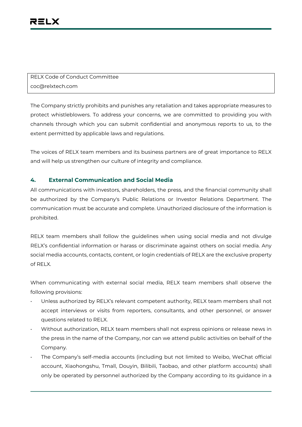RELX Code of Conduct Committee coc@relxtech.com

The Company strictly prohibits and punishes any retaliation and takes appropriate measures to protect whistleblowers. To address your concerns, we are committed to providing you with channels through which you can submit confidential and anonymous reports to us, to the extent permitted by applicable laws and regulations.

The voices of RELX team members and its business partners are of great importance to RELX and will help us strengthen our culture of integrity and compliance.

# <span id="page-7-0"></span>**4. External Communication and Social Media**

All communications with investors, shareholders, the press, and the financial community shall be authorized by the Company's Public Relations or Investor Relations Department. The communication must be accurate and complete. Unauthorized disclosure of the information is prohibited.

RELX team members shall follow the guidelines when using social media and not divulge RELX's confidential information or harass or discriminate against others on social media. Any social media accounts, contacts, content, or login credentials of RELX are the exclusive property of RELX.

When communicating with external social media, RELX team members shall observe the following provisions:

- Unless authorized by RELX's relevant competent authority, RELX team members shall not accept interviews or visits from reporters, consultants, and other personnel, or answer questions related to RELX.
- Without authorization, RELX team members shall not express opinions or release news in the press in the name of the Company, nor can we attend public activities on behalf of the Company.
- The Company's self-media accounts (including but not limited to Weibo, WeChat official account, Xiaohongshu, Tmall, Douyin, Bilibili, Taobao, and other platform accounts) shall only be operated by personnel authorized by the Company according to its guidance in a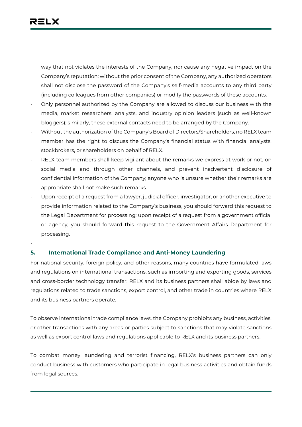•

way that not violates the interests of the Company, nor cause any negative impact on the Company's reputation; without the prior consent of the Company, any authorized operators shall not disclose the password of the Company's self-media accounts to any third party (including colleagues from other companies) or modify the passwords of these accounts.

- Only personnel authorized by the Company are allowed to discuss our business with the media, market researchers, analysts, and industry opinion leaders (such as well-known bloggers); similarly, these external contacts need to be arranged by the Company.
- Without the authorization of the Company's Board of Directors/Shareholders, no RELX team member has the right to discuss the Company's financial status with financial analysts, stockbrokers, or shareholders on behalf of RELX.
- RELX team members shall keep vigilant about the remarks we express at work or not, on social media and through other channels, and prevent inadvertent disclosure of confidential information of the Company; anyone who is unsure whether their remarks are appropriate shall not make such remarks.
- Upon receipt of a request from a lawyer, judicial officer, investigator, or another executive to provide information related to the Company's business, you should forward this request to the Legal Department for processing; upon receipt of a request from a government official or agency, you should forward this request to the Government Affairs Department for processing.

# <span id="page-8-0"></span>**5. International Trade Compliance and Anti-Money Laundering**

For national security, foreign policy, and other reasons, many countries have formulated laws and regulations on international transactions, such as importing and exporting goods, services and cross-border technology transfer. RELX and its business partners shall abide by laws and regulations related to trade sanctions, export control, and other trade in countries where RELX and its business partners operate.

To observe international trade compliance laws, the Company prohibits any business, activities, or other transactions with any areas or parties subject to sanctions that may violate sanctions as well as export control laws and regulations applicable to RELX and its business partners.

To combat money laundering and terrorist financing, RELX's business partners can only conduct business with customers who participate in legal business activities and obtain funds from legal sources.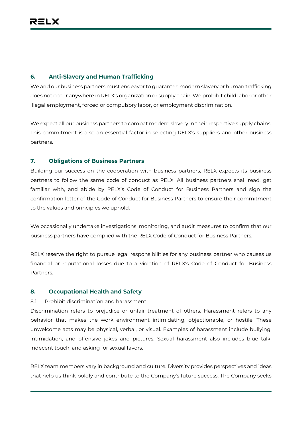# <span id="page-9-0"></span>**6. Anti-Slavery and Human Trafficking**

We and our business partners must endeavor to guarantee modern slavery or human trafficking does not occur anywhere in RELX's organization or supply chain. We prohibit child labor or other illegal employment, forced or compulsory labor, or employment discrimination.

We expect all our business partners to combat modern slavery in their respective supply chains. This commitment is also an essential factor in selecting RELX's suppliers and other business partners.

# <span id="page-9-1"></span>**7. Obligations of Business Partners**

Building our success on the cooperation with business partners, RELX expects its business partners to follow the same code of conduct as RELX. All business partners shall read, get familiar with, and abide by RELX's Code of Conduct for Business Partners and sign the confirmation letter of the Code of Conduct for Business Partners to ensure their commitment to the values and principles we uphold.

We occasionally undertake investigations, monitoring, and audit measures to confirm that our business partners have complied with the RELX Code of Conduct for Business Partners.

RELX reserve the right to pursue legal responsibilities for any business partner who causes us financial or reputational losses due to a violation of RELX's Code of Conduct for Business Partners.

#### <span id="page-9-2"></span>**8. Occupational Health and Safety**

#### 8.1. Prohibit discrimination and harassment

Discrimination refers to prejudice or unfair treatment of others. Harassment refers to any behavior that makes the work environment intimidating, objectionable, or hostile. These unwelcome acts may be physical, verbal, or visual. Examples of harassment include bullying, intimidation, and offensive jokes and pictures. Sexual harassment also includes blue talk, indecent touch, and asking for sexual favors.

RELX team members vary in background and culture. Diversity provides perspectives and ideas that help us think boldly and contribute to the Company's future success. The Company seeks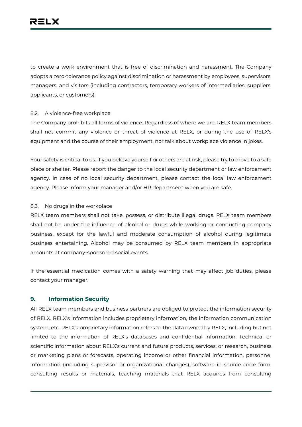to create a work environment that is free of discrimination and harassment. The Company adopts a zero-tolerance policy against discrimination or harassment by employees, supervisors, managers, and visitors (including contractors, temporary workers of intermediaries, suppliers, applicants, or customers).

### 8.2. A violence-free workplace

The Company prohibits all forms of violence. Regardless of where we are, RELX team members shall not commit any violence or threat of violence at RELX, or during the use of RELX's equipment and the course of their employment, nor talk about workplace violence in jokes.

Your safety is critical to us. If you believe yourself or others are at risk, please try to move to a safe place or shelter. Please report the danger to the local security department or law enforcement agency. In case of no local security department, please contact the local law enforcement agency. Please inform your manager and/or HR department when you are safe.

#### 8.3. No drugs in the workplace

RELX team members shall not take, possess, or distribute illegal drugs. RELX team members shall not be under the influence of alcohol or drugs while working or conducting company business, except for the lawful and moderate consumption of alcohol during legitimate business entertaining. Alcohol may be consumed by RELX team members in appropriate amounts at company-sponsored social events.

If the essential medication comes with a safety warning that may affect job duties, please contact your manager.

# <span id="page-10-0"></span>**9. Information Security**

All RELX team members and business partners are obliged to protect the information security of RELX. RELX's information includes proprietary information, the information communication system, etc. RELX's proprietary information refers to the data owned by RELX, including but not limited to the information of RELX's databases and confidential information. Technical or scientific information about RELX's current and future products, services, or research, business or marketing plans or forecasts, operating income or other financial information, personnel information (including supervisor or organizational changes), software in source code form, consulting results or materials, teaching materials that RELX acquires from consulting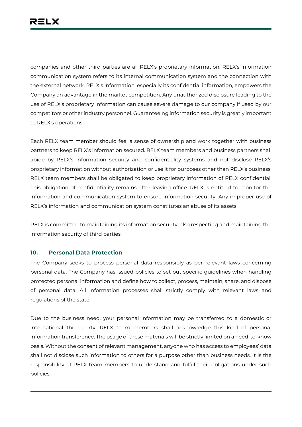companies and other third parties are all RELX's proprietary information. RELX's information communication system refers to its internal communication system and the connection with the external network. RELX's information, especially its confidential information, empowers the Company an advantage in the market competition. Any unauthorized disclosure leading to the use of RELX's proprietary information can cause severe damage to our company if used by our competitors or other industry personnel. Guaranteeing information security is greatly important to RELX's operations.

Each RELX team member should feel a sense of ownership and work together with business partners to keep RELX's information secured. RELX team members and business partners shall abide by RELX's information security and confidentiality systems and not disclose RELX's proprietary information without authorization or use it for purposes other than RELX's business. RELX team members shall be obligated to keep proprietary information of RELX confidential. This obligation of confidentiality remains after leaving office. RELX is entitled to monitor the information and communication system to ensure information security. Any improper use of RELX's information and communication system constitutes an abuse of its assets.

RELX is committed to maintaining its information security, also respecting and maintaining the information security of third parties.

# <span id="page-11-0"></span>**10. Personal Data Protection**

The Company seeks to process personal data responsibly as per relevant laws concerning personal data. The Company has issued policies to set out specific guidelines when handling protected personal information and define how to collect, process, maintain, share, and dispose of personal data. All information processes shall strictly comply with relevant laws and regulations of the state.

Due to the business need, your personal information may be transferred to a domestic or international third party. RELX team members shall acknowledge this kind of personal information transference. The usage of these materials will be strictly limited on a need-to-know basis. Without the consent of relevant management, anyone who has access to employees' data shall not disclose such information to others for a purpose other than business needs. It is the responsibility of RELX team members to understand and fulfill their obligations under such policies.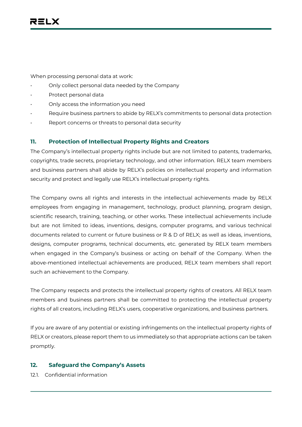When processing personal data at work:

- Only collect personal data needed by the Company
- Protect personal data
- Only access the information you need
- Require business partners to abide by RELX's commitments to personal data protection
- Report concerns or threats to personal data security

# <span id="page-12-0"></span>**11. Protection of Intellectual Property Rights and Creators**

The Company's intellectual property rights include but are not limited to patents, trademarks, copyrights, trade secrets, proprietary technology, and other information. RELX team members and business partners shall abide by RELX's policies on intellectual property and information security and protect and legally use RELX's intellectual property rights.

The Company owns all rights and interests in the intellectual achievements made by RELX employees from engaging in management, technology, product planning, program design, scientific research, training, teaching, or other works. These intellectual achievements include but are not limited to ideas, inventions, designs, computer programs, and various technical documents related to current or future business or R & D of RELX; as well as ideas, inventions, designs, computer programs, technical documents, etc. generated by RELX team members when engaged in the Company's business or acting on behalf of the Company. When the above-mentioned intellectual achievements are produced, RELX team members shall report such an achievement to the Company.

The Company respects and protects the intellectual property rights of creators. All RELX team members and business partners shall be committed to protecting the intellectual property rights of all creators, including RELX's users, cooperative organizations, and business partners.

If you are aware of any potential or existing infringements on the intellectual property rights of RELX or creators, please report them to us immediately so that appropriate actions can be taken promptly.

# <span id="page-12-1"></span>**12. Safeguard the Company's Assets**

12.1. Confidential information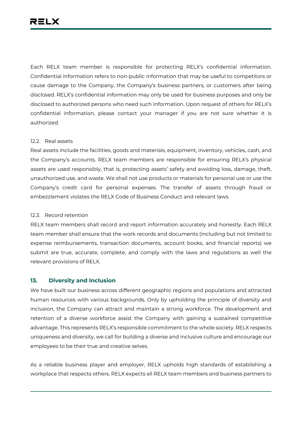Each RELX team member is responsible for protecting RELX's confidential information. Confidential information refers to non-public information that may be useful to competitors or cause damage to the Company, the Company's business partners, or customers after being disclosed. RELX's confidential information may only be used for business purposes and only be disclosed to authorized persons who need such information. Upon request of others for RELX's confidential information, please contact your manager if you are not sure whether it is authorized.

#### 12.2. Real assets

Real assets include the facilities, goods and materials, equipment, inventory, vehicles, cash, and the Company's accounts. RELX team members are responsible for ensuring RELX's physical assets are used responsibly, that is, protecting assets' safety and avoiding loss, damage, theft, unauthorized use, and waste. We shall not use products or materials for personal use or use the Company's credit card for personal expenses. The transfer of assets through fraud or embezzlement violates the RELX Code of Business Conduct and relevant laws.

#### 12.3. Record retention

RELX team members shall record and report information accurately and honestly. Each RELX team member shall ensure that the work records and documents (including but not limited to expense reimbursements, transaction documents, account books, and financial reports) we submit are true, accurate, complete, and comply with the laws and regulations as well the relevant provisions of RELX.

#### <span id="page-13-0"></span>**13. Diversity and Inclusion**

We have built our business across different geographic regions and populations and attracted human resources with various backgrounds. Only by upholding the principle of diversity and inclusion, the Company can attract and maintain a strong workforce. The development and retention of a diverse workforce assist the Company with gaining a sustained competitive advantage. This represents RELX's responsible commitment to the whole society. RELX respects uniqueness and diversity, we call for building a diverse and inclusive culture and encourage our employees to be their true and creative selves.

As a reliable business player and employer, RELX upholds high standards of establishing a workplace that respects others. RELX expects all RELX team members and business partners to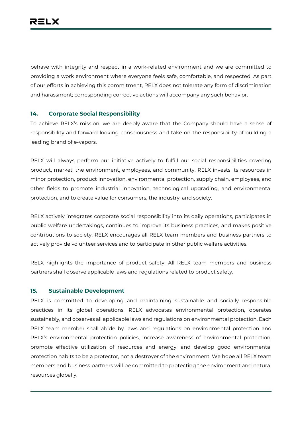behave with integrity and respect in a work-related environment and we are committed to providing a work environment where everyone feels safe, comfortable, and respected. As part of our efforts in achieving this commitment, RELX does not tolerate any form of discrimination and harassment; corresponding corrective actions will accompany any such behavior.

# <span id="page-14-0"></span>**14. Corporate Social Responsibility**

To achieve RELX's mission, we are deeply aware that the Company should have a sense of responsibility and forward-looking consciousness and take on the responsibility of building a leading brand of e-vapors.

RELX will always perform our initiative actively to fulfill our social responsibilities covering product, market, the environment, employees, and community. RELX invests its resources in minor protection, product innovation, environmental protection, supply chain, employees, and other fields to promote industrial innovation, technological upgrading, and environmental protection, and to create value for consumers, the industry, and society.

RELX actively integrates corporate social responsibility into its daily operations, participates in public welfare undertakings, continues to improve its business practices, and makes positive contributions to society. RELX encourages all RELX team members and business partners to actively provide volunteer services and to participate in other public welfare activities.

RELX highlights the importance of product safety. All RELX team members and business partners shall observe applicable laws and regulations related to product safety.

#### <span id="page-14-1"></span>**15. Sustainable Development**

RELX is committed to developing and maintaining sustainable and socially responsible practices in its global operations. RELX advocates environmental protection, operates sustainably, and observes all applicable laws and regulations on environmental protection. Each RELX team member shall abide by laws and regulations on environmental protection and RELX's environmental protection policies, increase awareness of environmental protection, promote effective utilization of resources and energy, and develop good environmental protection habits to be a protector, not a destroyer of the environment. We hope all RELX team members and business partners will be committed to protecting the environment and natural resources globally.